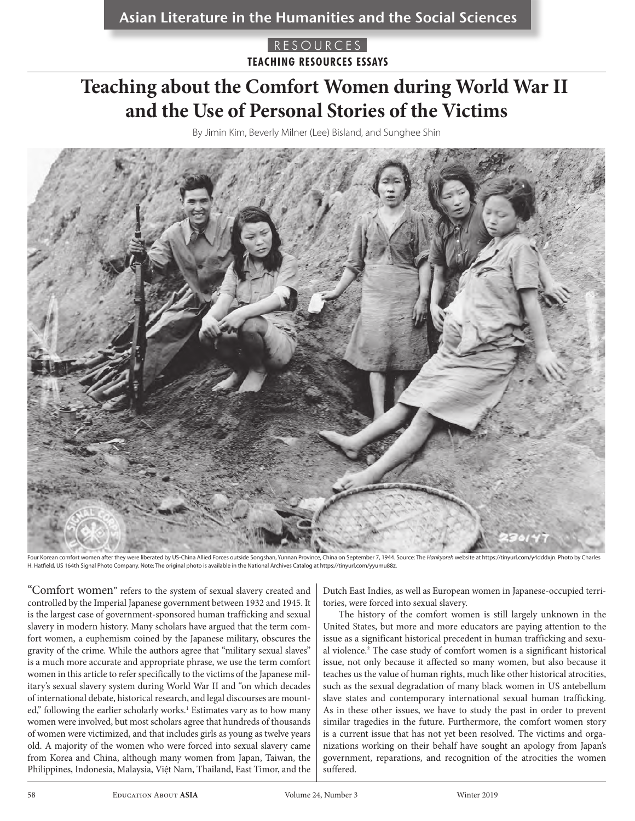# **Teaching about the Comfort Women during World War II and the Use of Personal Stories of the Victims**

By Jimin Kim, Beverly Milner (Lee) Bisland, and Sunghee Shin



ien after they were liberated by US-China Allied Forces outside Songshan, Yunnan Province, China on September 7, 1944. Source: The Hankyoreh website at https://tinyurl.com/y4dddxjn. Photo by Charl H. Hatfield, US 164th Signal Photo Company. Note: The original photo is available in the National Archives Catalog at https://tinyurl.com/yyumu88z.

"Comfort women" refers to the system of sexual slavery created and controlled by the Imperial Japanese government between 1932 and 1945. It is the largest case of government-sponsored human trafficking and sexual slavery in modern history. Many scholars have argued that the term comfort women, a euphemism coined by the Japanese military, obscures the gravity of the crime. While the authors agree that "military sexual slaves" is a much more accurate and appropriate phrase, we use the term comfort women in this article to refer specifically to the victims of the Japanese military's sexual slavery system during World War II and "on which decades of international debate, historical research, and legal discourses are mounted," following the earlier scholarly works.<sup>1</sup> Estimates vary as to how many women were involved, but most scholars agree that hundreds of thousands of women were victimized, and that includes girls as young as twelve years old. A majority of the women who were forced into sexual slavery came from Korea and China, although many women from Japan, Taiwan, the Philippines, Indonesia, Malaysia, Việt Nam, Thailand, East Timor, and the

Dutch East Indies, as well as European women in Japanese-occupied territories, were forced into sexual slavery.

The history of the comfort women is still largely unknown in the United States, but more and more educators are paying attention to the issue as a significant historical precedent in human trafficking and sexual violence.2 The case study of comfort women is a significant historical issue, not only because it affected so many women, but also because it teaches us the value of human rights, much like other historical atrocities, such as the sexual degradation of many black women in US antebellum slave states and contemporary international sexual human trafficking. As in these other issues, we have to study the past in order to prevent similar tragedies in the future. Furthermore, the comfort women story is a current issue that has not yet been resolved. The victims and organizations working on their behalf have sought an apology from Japan's government, reparations, and recognition of the atrocities the women suffered.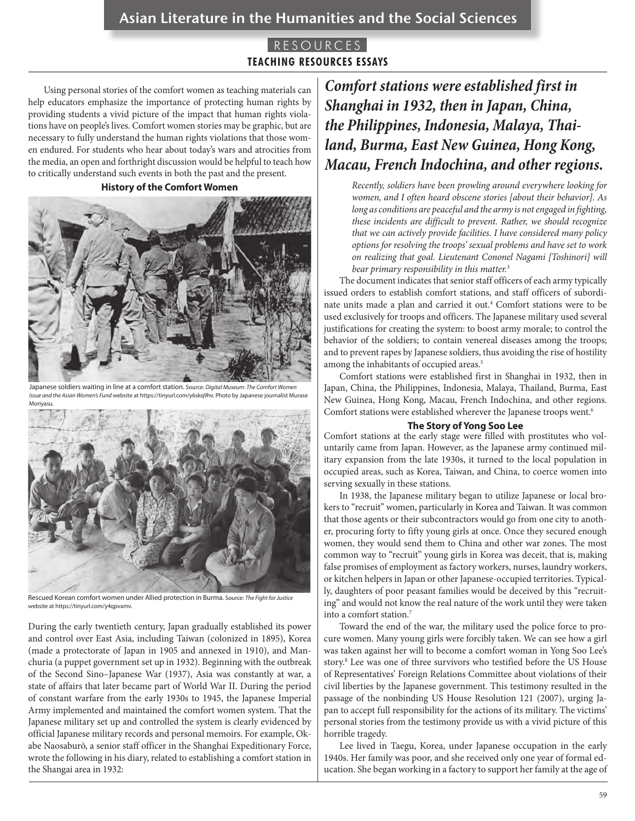# Asian Literature in the Humanities and the Social Sciences

### RESOURCES **TEACHING RESOURCES ESSAYS**

Using personal stories of the comfort women as teaching materials can help educators emphasize the importance of protecting human rights by providing students a vivid picture of the impact that human rights violations have on people's lives. Comfort women stories may be graphic, but are necessary to fully understand the human rights violations that those women endured. For students who hear about today's wars and atrocities from the media, an open and forthright discussion would be helpful to teach how to critically understand such events in both the past and the present.

#### **History of the Comfort Women**



Japanese soldiers waiting in line at a comfort station. Source: *Digital Museum: The Comfort Women Issue and the Asian Women's Fund* website at https://tinyurl.com/y6skq9hv. Photo by Japanese journalist Murase Moriyasu.



Rescued Korean comfort women under Allied protection in Burma. Source: *The Fight for Justice* website at https://tinyurl.com/y4qpvamv.

During the early twentieth century, Japan gradually established its power and control over East Asia, including Taiwan (colonized in 1895), Korea (made a protectorate of Japan in 1905 and annexed in 1910), and Manchuria (a puppet government set up in 1932). Beginning with the outbreak of the Second Sino–Japanese War (1937), Asia was constantly at war, a state of affairs that later became part of World War II. During the period of constant warfare from the early 1930s to 1945, the Japanese Imperial Army implemented and maintained the comfort women system. That the Japanese military set up and controlled the system is clearly evidenced by official Japanese military records and personal memoirs. For example, Okabe Naosaburō, a senior staff officer in the Shanghai Expeditionary Force, wrote the following in his diary, related to establishing a comfort station in the Shangai area in 1932:

# *Comfort stations were established first in Shanghai in 1932, then in Japan, China, the Philippines, Indonesia, Malaya, Thailand, Burma, East New Guinea, Hong Kong, Macau, French Indochina, and other regions.*

*Recently, soldiers have been prowling around everywhere looking for women, and I often heard obscene stories [about their behavior]. As long as conditions are peaceful and the army is not engaged in fighting, these incidents are difficult to prevent. Rather, we should recognize that we can actively provide facilities. I have considered many policy options for resolving the troops' sexual problems and have set to work on realizing that goal. Lieutenant Cononel Nagami [Toshinori] will bear primary responsibility in this matter.*<sup>3</sup>

The document indicates that senior staff officers of each army typically issued orders to establish comfort stations, and staff officers of subordinate units made a plan and carried it out.4 Comfort stations were to be used exclusively for troops and officers. The Japanese military used several justifications for creating the system: to boost army morale; to control the behavior of the soldiers; to contain venereal diseases among the troops; and to prevent rapes by Japanese soldiers, thus avoiding the rise of hostility among the inhabitants of occupied areas.<sup>5</sup>

Comfort stations were established first in Shanghai in 1932, then in Japan, China, the Philippines, Indonesia, Malaya, Thailand, Burma, East New Guinea, Hong Kong, Macau, French Indochina, and other regions. Comfort stations were established wherever the Japanese troops went.6

#### **The Story of Yong Soo Lee**

Comfort stations at the early stage were filled with prostitutes who voluntarily came from Japan. However, as the Japanese army continued military expansion from the late 1930s, it turned to the local population in occupied areas, such as Korea, Taiwan, and China, to coerce women into serving sexually in these stations.

In 1938, the Japanese military began to utilize Japanese or local brokers to "recruit" women, particularly in Korea and Taiwan. It was common that those agents or their subcontractors would go from one city to another, procuring forty to fifty young girls at once. Once they secured enough women, they would send them to China and other war zones. The most common way to "recruit" young girls in Korea was deceit, that is, making false promises of employment as factory workers, nurses, laundry workers, or kitchen helpers in Japan or other Japanese-occupied territories. Typically, daughters of poor peasant families would be deceived by this "recruiting" and would not know the real nature of the work until they were taken into a comfort station.7

Toward the end of the war, the military used the police force to procure women. Many young girls were forcibly taken. We can see how a girl was taken against her will to become a comfort woman in Yong Soo Lee's story.8 Lee was one of three survivors who testified before the US House of Representatives' Foreign Relations Committee about violations of their civil liberties by the Japanese government. This testimony resulted in the passage of the nonbinding US House Resolution 121 (2007), urging Japan to accept full responsibility for the actions of its military. The victims' personal stories from the testimony provide us with a vivid picture of this horrible tragedy.

Lee lived in Taegu, Korea, under Japanese occupation in the early 1940s. Her family was poor, and she received only one year of formal education. She began working in a factory to support her family at the age of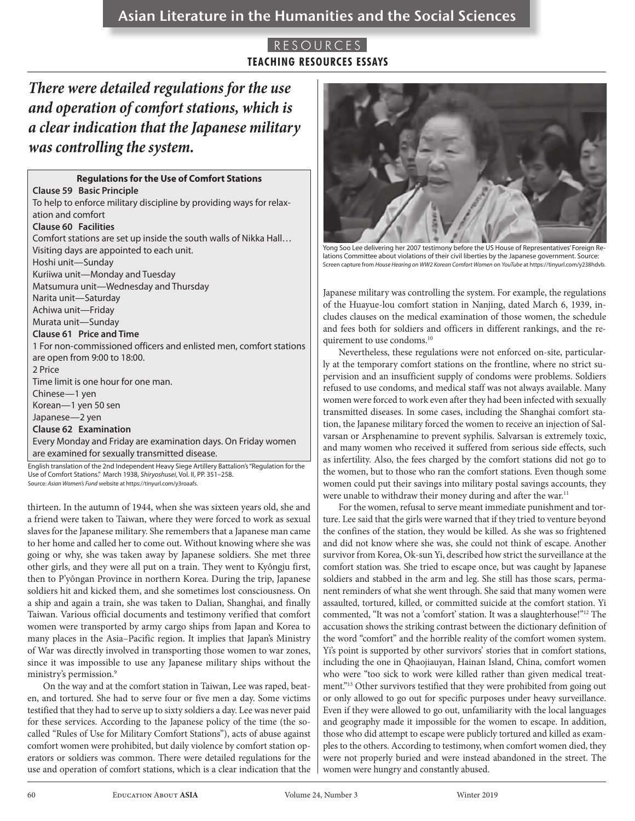# *There were detailed regulations for the use and operation of comfort stations, which is a clear indication that the Japanese military was controlling the system.*

| <b>Regulations for the Use of Comfort Stations</b>                                               |
|--------------------------------------------------------------------------------------------------|
| <b>Clause 59 Basic Principle</b>                                                                 |
| To help to enforce military discipline by providing ways for relax-                              |
| ation and comfort                                                                                |
| <b>Clause 60 Facilities</b>                                                                      |
| Comfort stations are set up inside the south walls of Nikka Hall                                 |
| Visiting days are appointed to each unit.                                                        |
| Hoshi unit-Sunday                                                                                |
| Kuriiwa unit-Monday and Tuesday                                                                  |
| Matsumura unit-Wednesday and Thursday                                                            |
| Narita unit-Saturday                                                                             |
| Achiwa unit-Friday                                                                               |
| Murata unit-Sunday                                                                               |
| Clause 61 Price and Time                                                                         |
| 1 For non-commissioned officers and enlisted men, comfort stations                               |
| are open from 9:00 to 18:00.                                                                     |
| 2 Price                                                                                          |
| Time limit is one hour for one man.                                                              |
| Chinese-1 yen                                                                                    |
| Korean-1 yen 50 sen                                                                              |
| Japanese-2 yen                                                                                   |
| Clause 62 Examination                                                                            |
| Every Monday and Friday are examination days. On Friday women                                    |
| are examined for sexually transmitted disease.                                                   |
| English translation of the 2nd Independent Heavy Siege Artillery Battalion's "Regulation for the |

Use of Comfort Stations." March 1938, *Shiryoshusei*, Vol. II, PP. 351–258. Source: *Asian Women's Fund* website at https://tinyurl.com/y3roaafs.

thirteen. In the autumn of 1944, when she was sixteen years old, she and a friend were taken to Taiwan, where they were forced to work as sexual slaves for the Japanese military. She remembers that a Japanese man came to her home and called her to come out. Without knowing where she was going or why, she was taken away by Japanese soldiers. She met three other girls, and they were all put on a train. They went to Kyôngju first, then to P'yôngan Province in northern Korea. During the trip, Japanese soldiers hit and kicked them, and she sometimes lost consciousness. On a ship and again a train, she was taken to Dalian, Shanghai, and finally Taiwan. Various official documents and testimony verified that comfort women were transported by army cargo ships from Japan and Korea to many places in the Asia–Pacific region. It implies that Japan's Ministry of War was directly involved in transporting those women to war zones, since it was impossible to use any Japanese military ships without the ministry's permission.<sup>9</sup>

On the way and at the comfort station in Taiwan, Lee was raped, beaten, and tortured. She had to serve four or five men a day. Some victims testified that they had to serve up to sixty soldiers a day. Lee was never paid for these services. According to the Japanese policy of the time (the socalled "Rules of Use for Military Comfort Stations"), acts of abuse against comfort women were prohibited, but daily violence by comfort station operators or soldiers was common. There were detailed regulations for the use and operation of comfort stations, which is a clear indication that the



Yong Soo Lee delivering her 2007 testimony before the US House of Representatives' Foreign Relations Committee about violations of their civil liberties by the Japanese government. Source: Screen capture from *House Hearing on WW2 Korean Comfort Women* on *YouTube* at https://tinyurl.com/y238hdvb.

Japanese military was controlling the system. For example, the regulations of the Huayue-lou comfort station in Nanjing, dated March 6, 1939, includes clauses on the medical examination of those women, the schedule and fees both for soldiers and officers in different rankings, and the requirement to use condoms.10

Nevertheless, these regulations were not enforced on-site, particularly at the temporary comfort stations on the frontline, where no strict supervision and an insufficient supply of condoms were problems. Soldiers refused to use condoms, and medical staff was not always available. Many women were forced to work even after they had been infected with sexually transmitted diseases. In some cases, including the Shanghai comfort station, the Japanese military forced the women to receive an injection of Salvarsan or Arsphenamine to prevent syphilis. Salvarsan is extremely toxic, and many women who received it suffered from serious side effects, such as infertility. Also, the fees charged by the comfort stations did not go to the women, but to those who ran the comfort stations. Even though some women could put their savings into military postal savings accounts, they were unable to withdraw their money during and after the war.<sup>11</sup>

For the women, refusal to serve meant immediate punishment and torture. Lee said that the girls were warned that if they tried to venture beyond the confines of the station, they would be killed. As she was so frightened and did not know where she was, she could not think of escape. Another survivor from Korea, Ok-sun Yi, described how strict the surveillance at the comfort station was. She tried to escape once, but was caught by Japanese soldiers and stabbed in the arm and leg. She still has those scars, permanent reminders of what she went through. She said that many women were assaulted, tortured, killed, or committed suicide at the comfort station. Yi commented, "It was not a 'comfort' station. It was a slaughterhouse!"12 The accusation shows the striking contrast between the dictionary definition of the word "comfort" and the horrible reality of the comfort women system. Yi's point is supported by other survivors' stories that in comfort stations, including the one in Qhaojiauyan, Hainan Island, China, comfort women who were "too sick to work were killed rather than given medical treatment."13 Other survivors testified that they were prohibited from going out or only allowed to go out for specific purposes under heavy surveillance. Even if they were allowed to go out, unfamiliarity with the local languages and geography made it impossible for the women to escape. In addition, those who did attempt to escape were publicly tortured and killed as examples to the others. According to testimony, when comfort women died, they were not properly buried and were instead abandoned in the street. The women were hungry and constantly abused.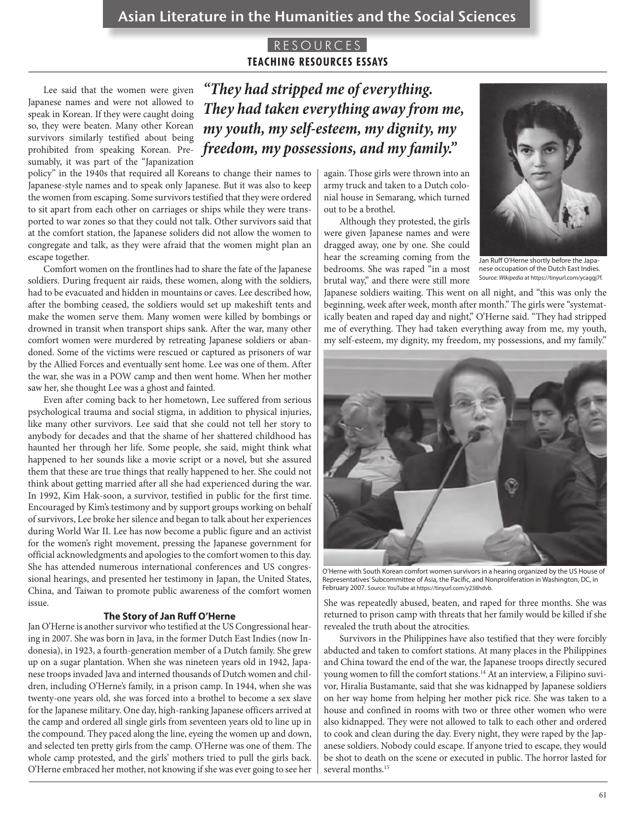Lee said that the women were given Japanese names and were not allowed to speak in Korean. If they were caught doing so, they were beaten. Many other Korean survivors similarly testified about being prohibited from speaking Korean. Presumably, it was part of the "Japanization

policy" in the 1940s that required all Koreans to change their names to Japanese-style names and to speak only Japanese. But it was also to keep the women from escaping. Some survivors testified that they were ordered to sit apart from each other on carriages or ships while they were transported to war zones so that they could not talk. Other survivors said that at the comfort station, the Japanese soliders did not allow the women to congregate and talk, as they were afraid that the women might plan an escape together.

Comfort women on the frontlines had to share the fate of the Japanese soldiers. During frequent air raids, these women, along with the soldiers, had to be evacuated and hidden in mountains or caves. Lee described how, after the bombing ceased, the soldiers would set up makeshift tents and make the women serve them. Many women were killed by bombings or drowned in transit when transport ships sank. After the war, many other comfort women were murdered by retreating Japanese soldiers or abandoned. Some of the victims were rescued or captured as prisoners of war by the Allied Forces and eventually sent home. Lee was one of them. After the war, she was in a POW camp and then went home. When her mother saw her, she thought Lee was a ghost and fainted.

Even after coming back to her hometown, Lee suffered from serious psychological trauma and social stigma, in addition to physical injuries, like many other survivors. Lee said that she could not tell her story to anybody for decades and that the shame of her shattered childhood has haunted her through her life. Some people, she said, might think what happened to her sounds like a movie script or a novel, but she assured them that these are true things that really happened to her. She could not think about getting married after all she had experienced during the war. In 1992, Kim Hak-soon, a survivor, testified in public for the first time. Encouraged by Kim's testimony and by support groups working on behalf of survivors, Lee broke her silence and began to talk about her experiences during World War II. Lee has now become a public figure and an activist for the women's right movement, pressing the Japanese government for official acknowledgments and apologies to the comfort women to this day. She has attended numerous international conferences and US congressional hearings, and presented her testimony in Japan, the United States, China, and Taiwan to promote public awareness of the comfort women issue.

#### **The Story of Jan Ruff O'Herne**

Jan O'Herne is another survivor who testified at the US Congressional hearing in 2007. She was born in Java, in the former Dutch East Indies (now Indonesia), in 1923, a fourth-generation member of a Dutch family. She grew up on a sugar plantation. When she was nineteen years old in 1942, Japanese troops invaded Java and interned thousands of Dutch women and children, including O'Herne's family, in a prison camp. In 1944, when she was twenty-one years old, she was forced into a brothel to become a sex slave for the Japanese military. One day, high-ranking Japanese officers arrived at the camp and ordered all single girls from seventeen years old to line up in the compound. They paced along the line, eyeing the women up and down, and selected ten pretty girls from the camp. O'Herne was one of them. The whole camp protested, and the girls' mothers tried to pull the girls back. O'Herne embraced her mother, not knowing if she was ever going to see her

*"They had stripped me of everything. They had taken everything away from me, my youth, my self-esteem, my dignity, my freedom, my possessions, and my family."*

> again. Those girls were thrown into an army truck and taken to a Dutch colonial house in Semarang, which turned out to be a brothel.

> Although they protested, the girls were given Japanese names and were dragged away, one by one. She could hear the screaming coming from the bedrooms. She was raped "in a most brutal way," and there were still more



Jan Ruff O'Herne shortly before the Japanese occupation of the Dutch East Indies. Source: *Wikipedia* at https://tinyurl.com/ycaggj7f.

Japanese soldiers waiting. This went on all night, and "this was only the beginning, week after week, month after month." The girls were "systematically beaten and raped day and night," O'Herne said. "They had stripped me of everything. They had taken everything away from me, my youth, my self-esteem, my dignity, my freedom, my possessions, and my family."



O'Herne with South Korean comfort women survivors in a hearing organized by the US House of Representatives' Subcommittee of Asia, the Pacific, and Nonproliferation in Washington, DC, in February 2007. Source: YouTube at https://tinyurl.com/y238hdvb.

She was repeatedly abused, beaten, and raped for three months. She was returned to prison camp with threats that her family would be killed if she revealed the truth about the atrocities.

Survivors in the Philippines have also testified that they were forcibly abducted and taken to comfort stations. At many places in the Philippines and China toward the end of the war, the Japanese troops directly secured young women to fill the comfort stations.<sup>14</sup> At an interview, a Filipino suvivor, Hiralia Bustamante, said that she was kidnapped by Japanese soldiers on her way home from helping her mother pick rice. She was taken to a house and confined in rooms with two or three other women who were also kidnapped. They were not allowed to talk to each other and ordered to cook and clean during the day. Every night, they were raped by the Japanese soldiers. Nobody could escape. If anyone tried to escape, they would be shot to death on the scene or executed in public. The horror lasted for several months.<sup>15</sup>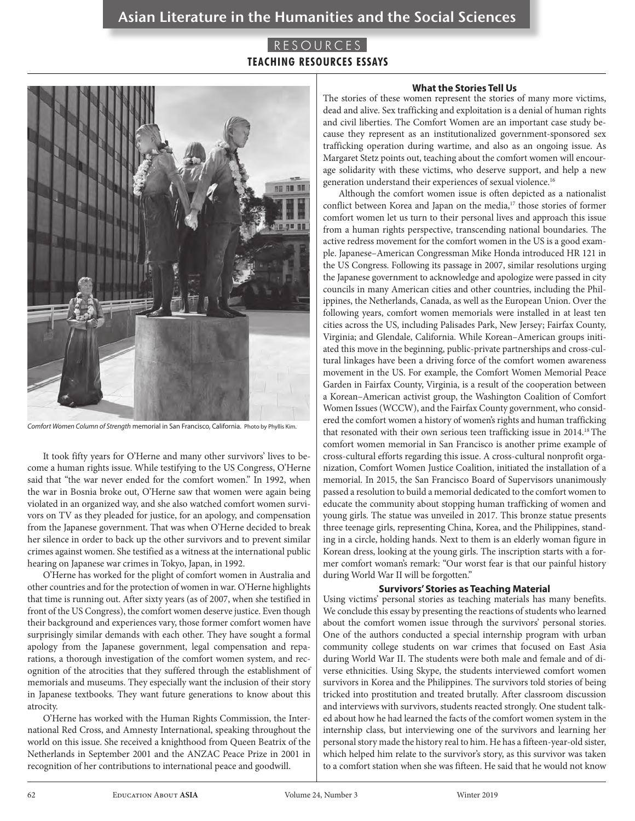

*Comfort Women Column of Strength* memorial in San Francisco, California. Photo by Phyllis Kim.

It took fifty years for O'Herne and many other survivors' lives to become a human rights issue. While testifying to the US Congress, O'Herne said that "the war never ended for the comfort women." In 1992, when the war in Bosnia broke out, O'Herne saw that women were again being violated in an organized way, and she also watched comfort women survivors on TV as they pleaded for justice, for an apology, and compensation from the Japanese government. That was when O'Herne decided to break her silence in order to back up the other survivors and to prevent similar crimes against women. She testified as a witness at the international public hearing on Japanese war crimes in Tokyo, Japan, in 1992.

O'Herne has worked for the plight of comfort women in Australia and other countries and for the protection of women in war. O'Herne highlights that time is running out. After sixty years (as of 2007, when she testified in front of the US Congress), the comfort women deserve justice. Even though their background and experiences vary, those former comfort women have surprisingly similar demands with each other. They have sought a formal apology from the Japanese government, legal compensation and reparations, a thorough investigation of the comfort women system, and recognition of the atrocities that they suffered through the establishment of memorials and museums. They especially want the inclusion of their story in Japanese textbooks. They want future generations to know about this atrocity.

O'Herne has worked with the Human Rights Commission, the International Red Cross, and Amnesty International, speaking throughout the world on this issue. She received a knighthood from Queen Beatrix of the Netherlands in September 2001 and the ANZAC Peace Prize in 2001 in recognition of her contributions to international peace and goodwill.

#### **What the Stories Tell Us**

The stories of these women represent the stories of many more victims, dead and alive. Sex trafficking and exploitation is a denial of human rights and civil liberties. The Comfort Women are an important case study because they represent as an institutionalized government-sponsored sex trafficking operation during wartime, and also as an ongoing issue. As Margaret Stetz points out, teaching about the comfort women will encourage solidarity with these victims, who deserve support, and help a new generation understand their experiences of sexual violence.16

Although the comfort women issue is often depicted as a nationalist conflict between Korea and Japan on the media,<sup>17</sup> those stories of former comfort women let us turn to their personal lives and approach this issue from a human rights perspective, transcending national boundaries. The active redress movement for the comfort women in the US is a good example. Japanese–American Congressman Mike Honda introduced HR 121 in the US Congress. Following its passage in 2007, similar resolutions urging the Japanese government to acknowledge and apologize were passed in city councils in many American cities and other countries, including the Philippines, the Netherlands, Canada, as well as the European Union. Over the following years, comfort women memorials were installed in at least ten cities across the US, including Palisades Park, New Jersey; Fairfax County, Virginia; and Glendale, California. While Korean–American groups initiated this move in the beginning, public-private partnerships and cross-cultural linkages have been a driving force of the comfort women awareness movement in the US. For example, the Comfort Women Memorial Peace Garden in Fairfax County, Virginia, is a result of the cooperation between a Korean–American activist group, the Washington Coalition of Comfort Women Issues (WCCW), and the Fairfax County government, who considered the comfort women a history of women's rights and human trafficking that resonated with their own serious teen trafficking issue in 2014.18 The comfort women memorial in San Francisco is another prime example of cross-cultural efforts regarding this issue. A cross-cultural nonprofit organization, Comfort Women Justice Coalition, initiated the installation of a memorial. In 2015, the San Francisco Board of Supervisors unanimously passed a resolution to build a memorial dedicated to the comfort women to educate the community about stopping human trafficking of women and young girls. The statue was unveiled in 2017. This bronze statue presents three teenage girls, representing China, Korea, and the Philippines, standing in a circle, holding hands. Next to them is an elderly woman figure in Korean dress, looking at the young girls. The inscription starts with a former comfort woman's remark: "Our worst fear is that our painful history during World War II will be forgotten."

#### **Survivors' Stories as Teaching Material**

Using victims' personal stories as teaching materials has many benefits. We conclude this essay by presenting the reactions of students who learned about the comfort women issue through the survivors' personal stories. One of the authors conducted a special internship program with urban community college students on war crimes that focused on East Asia during World War II. The students were both male and female and of diverse ethnicities. Using Skype, the students interviewed comfort women survivors in Korea and the Philippines. The survivors told stories of being tricked into prostitution and treated brutally. After classroom discussion and interviews with survivors, students reacted strongly. One student talked about how he had learned the facts of the comfort women system in the internship class, but interviewing one of the survivors and learning her personal story made the history real to him. He has a fifteen-year-old sister, which helped him relate to the survivor's story, as this survivor was taken to a comfort station when she was fifteen. He said that he would not know